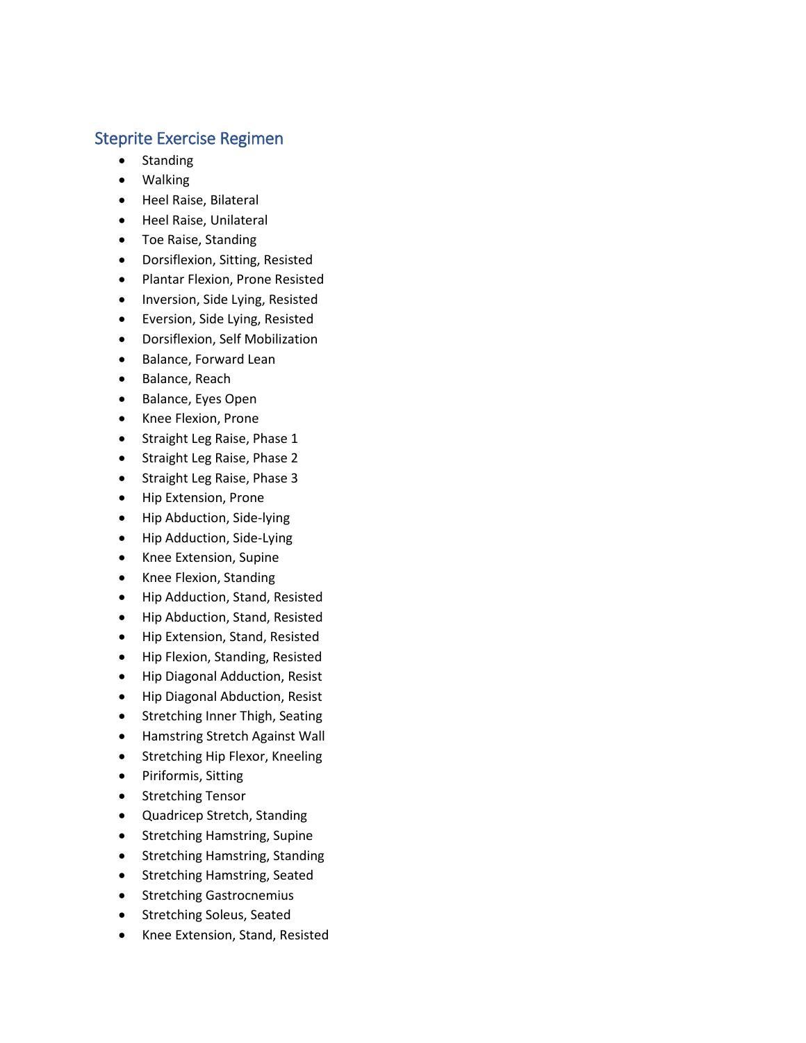## Steprite Exercise Regimen

- Standing
- Walking
- Heel Raise, Bilateral
- Heel Raise, Unilateral
- Toe Raise, Standing
- Dorsiflexion, Sitting, Resisted
- Plantar Flexion, Prone Resisted
- Inversion, Side Lying, Resisted
- Eversion, Side Lying, Resisted
- Dorsiflexion, Self Mobilization
- Balance, Forward Lean
- Balance, Reach
- Balance, Eyes Open
- Knee Flexion, Prone
- Straight Leg Raise, Phase 1
- Straight Leg Raise, Phase 2
- Straight Leg Raise, Phase 3
- Hip Extension, Prone
- Hip Abduction, Side-lying
- Hip Adduction, Side-Lying
- Knee Extension, Supine
- Knee Flexion, Standing
- Hip Adduction, Stand, Resisted
- Hip Abduction, Stand, Resisted
- Hip Extension, Stand, Resisted
- Hip Flexion, Standing, Resisted
- Hip Diagonal Adduction, Resist
- Hip Diagonal Abduction, Resist
- Stretching Inner Thigh, Seating
- Hamstring Stretch Against Wall
- Stretching Hip Flexor, Kneeling
- Piriformis, Sitting
- **•** Stretching Tensor
- Quadricep Stretch, Standing
- Stretching Hamstring, Supine
- Stretching Hamstring, Standing
- Stretching Hamstring, Seated
- **•** Stretching Gastrocnemius
- **•** Stretching Soleus, Seated
- Knee Extension, Stand, Resisted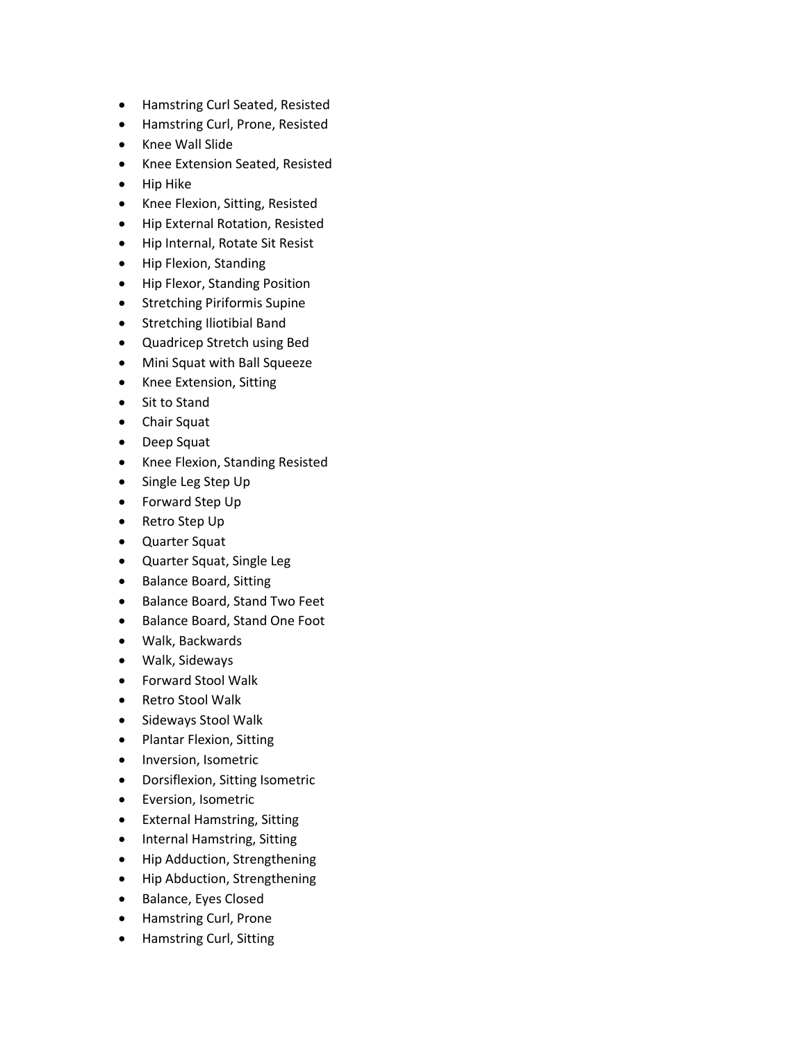- Hamstring Curl Seated, Resisted
- Hamstring Curl, Prone, Resisted
- Knee Wall Slide
- Knee Extension Seated, Resisted
- Hip Hike
- Knee Flexion, Sitting, Resisted
- Hip External Rotation, Resisted
- Hip Internal, Rotate Sit Resist
- Hip Flexion, Standing
- Hip Flexor, Standing Position
- **•** Stretching Piriformis Supine
- Stretching Iliotibial Band
- Quadricep Stretch using Bed
- Mini Squat with Ball Squeeze
- Knee Extension, Sitting
- Sit to Stand
- Chair Squat
- Deep Squat
- Knee Flexion, Standing Resisted
- Single Leg Step Up
- Forward Step Up
- Retro Step Up
- Quarter Squat
- Quarter Squat, Single Leg
- Balance Board, Sitting
- Balance Board, Stand Two Feet
- Balance Board, Stand One Foot
- Walk, Backwards
- Walk, Sideways
- Forward Stool Walk
- Retro Stool Walk
- Sideways Stool Walk
- Plantar Flexion, Sitting
- Inversion, Isometric
- Dorsiflexion, Sitting Isometric
- **•** Eversion, Isometric
- External Hamstring, Sitting
- Internal Hamstring, Sitting
- Hip Adduction, Strengthening
- Hip Abduction, Strengthening
- Balance, Eyes Closed
- Hamstring Curl, Prone
- Hamstring Curl, Sitting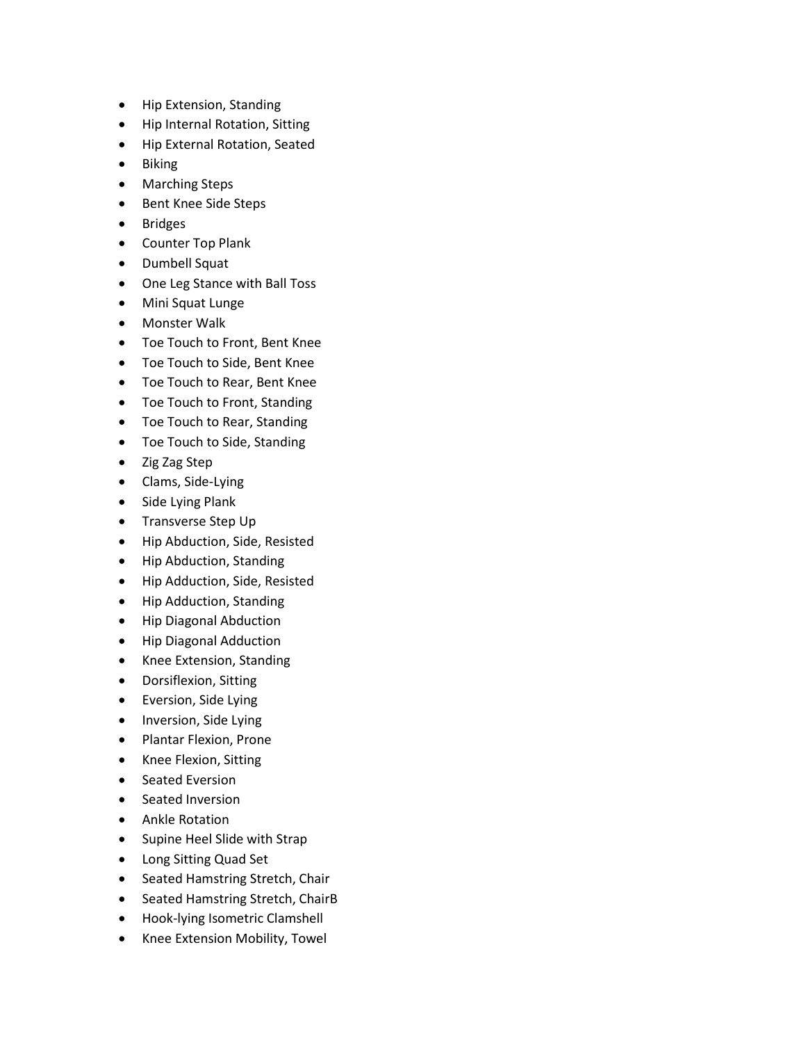- Hip Extension, Standing
- Hip Internal Rotation, Sitting
- Hip External Rotation, Seated
- Biking
- Marching Steps
- Bent Knee Side Steps
- Bridges
- Counter Top Plank
- Dumbell Squat
- One Leg Stance with Ball Toss
- Mini Squat Lunge
- Monster Walk
- Toe Touch to Front, Bent Knee
- Toe Touch to Side, Bent Knee
- Toe Touch to Rear, Bent Knee
- Toe Touch to Front, Standing
- Toe Touch to Rear, Standing
- Toe Touch to Side, Standing
- Zig Zag Step
- Clams, Side-Lying
- Side Lying Plank
- Transverse Step Up
- Hip Abduction, Side, Resisted
- Hip Abduction, Standing
- Hip Adduction, Side, Resisted
- Hip Adduction, Standing
- Hip Diagonal Abduction
- Hip Diagonal Adduction
- Knee Extension, Standing
- Dorsiflexion, Sitting
- Eversion, Side Lying
- Inversion, Side Lying
- Plantar Flexion, Prone
- Knee Flexion, Sitting
- Seated Eversion
- Seated Inversion
- Ankle Rotation
- Supine Heel Slide with Strap
- Long Sitting Quad Set
- Seated Hamstring Stretch, Chair
- Seated Hamstring Stretch, ChairB
- Hook-lying Isometric Clamshell
- Knee Extension Mobility, Towel